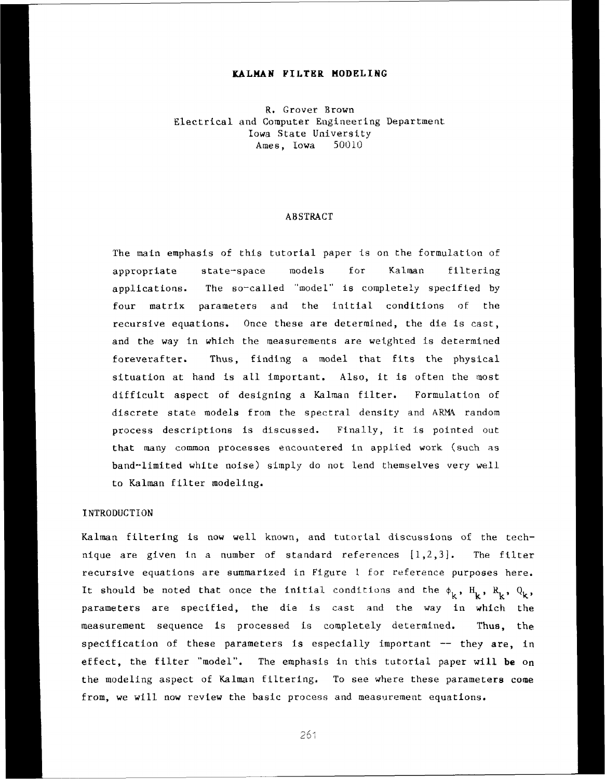# **KALMAN FILTER MODELING**

R. Grover Brown Electrical and Computer Engineering Department Iowa State University Ames, Iowa 50010

## **ABSTRACT**

The main emphasis of this tutorial paper is on the formulation of appropriate state-space models for Kalman filtering applications. The so-called "model" is completely specified by four matrix parameters and the initial conditions of the recursive equations. Once these are determined, the die is cast, and the way in which the measurements are weighted is determined foreverafter. Thus, finding a model that fits the physical situation at hand is all important. Also, it is often the most difficult aspect of designing a Kalman filter. Formulation of discrete state models from the spectral density and **ARM4** random process descriptions is discussed. Finally, it is **pointed** out that many common processes encountered **in** applied work **(such** as band-limited white noise) simply do not lend themselves very well to Kalman filter modeling.

# **INTRODUCTION**

Kalman filtering is now well known, and tutorial discussions of the technique are given in a number of standard references  $[1,2,3]$ . The filter recursive equations are summarized in Figure 1 for reference purposes here. It should be noted that once the initial conditions and the  $\phi_k$ ,  $H_k$ ,  $R_k$ ,  $Q_k$ , parameters are specified, the die is cast and the way in which the measurement sequence is proceased **is** completely determined. **Thus,** the specification of these parameters is especially important -- they **are,** in effect, the filter "model". The emphasis in this tutorial paper will be on the modeling aspect of Kalman filtering. To see where these parameters **come**  from, we **wlll** now review the basic process and **measurement** equations.

261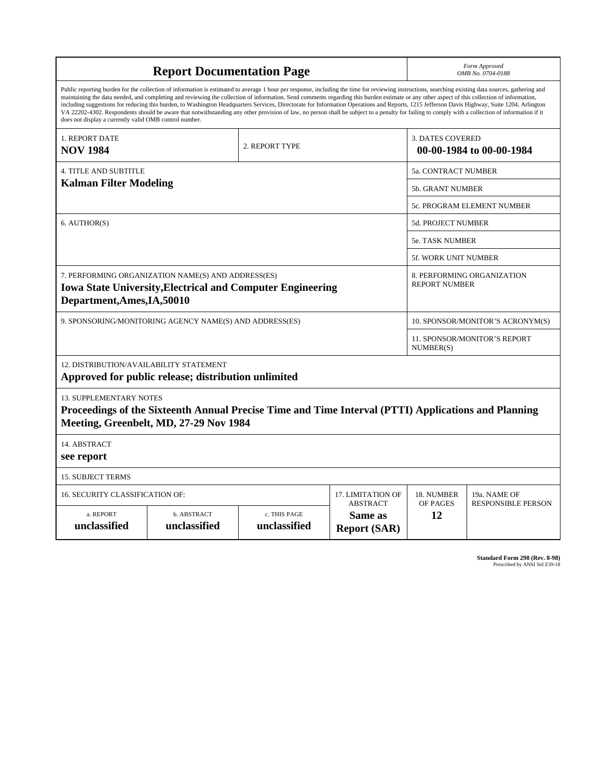| <b>Report Documentation Page</b>                                                                                                                       |                                                                                                                                                                                                                                                                                                                                                                                                                                                                                                                                                                                                                                                                                                                                                                                                          |                              |                                                   | Form Approved<br>OMB No. 0704-0188                  |                           |  |
|--------------------------------------------------------------------------------------------------------------------------------------------------------|----------------------------------------------------------------------------------------------------------------------------------------------------------------------------------------------------------------------------------------------------------------------------------------------------------------------------------------------------------------------------------------------------------------------------------------------------------------------------------------------------------------------------------------------------------------------------------------------------------------------------------------------------------------------------------------------------------------------------------------------------------------------------------------------------------|------------------------------|---------------------------------------------------|-----------------------------------------------------|---------------------------|--|
| does not display a currently valid OMB control number.                                                                                                 | Public reporting burden for the collection of information is estimated to average 1 hour per response, including the time for reviewing instructions, searching existing data sources, gathering and<br>maintaining the data needed, and completing and reviewing the collection of information. Send comments regarding this burden estimate or any other aspect of this collection of information,<br>including suggestions for reducing this burden, to Washington Headquarters Services, Directorate for Information Operations and Reports, 1215 Jefferson Davis Highway, Suite 1204, Arlington<br>VA 22202-4302. Respondents should be aware that notwithstanding any other provision of law, no person shall be subject to a penalty for failing to comply with a collection of information if it |                              |                                                   |                                                     |                           |  |
| 1. REPORT DATE<br><b>NOV 1984</b>                                                                                                                      | 2. REPORT TYPE                                                                                                                                                                                                                                                                                                                                                                                                                                                                                                                                                                                                                                                                                                                                                                                           |                              |                                                   | <b>3. DATES COVERED</b><br>00-00-1984 to 00-00-1984 |                           |  |
| <b>4. TITLE AND SUBTITLE</b>                                                                                                                           |                                                                                                                                                                                                                                                                                                                                                                                                                                                                                                                                                                                                                                                                                                                                                                                                          |                              |                                                   | 5a. CONTRACT NUMBER                                 |                           |  |
| <b>Kalman Filter Modeling</b>                                                                                                                          |                                                                                                                                                                                                                                                                                                                                                                                                                                                                                                                                                                                                                                                                                                                                                                                                          |                              |                                                   | <b>5b. GRANT NUMBER</b>                             |                           |  |
|                                                                                                                                                        |                                                                                                                                                                                                                                                                                                                                                                                                                                                                                                                                                                                                                                                                                                                                                                                                          |                              |                                                   | 5c. PROGRAM ELEMENT NUMBER                          |                           |  |
| 6. AUTHOR(S)                                                                                                                                           |                                                                                                                                                                                                                                                                                                                                                                                                                                                                                                                                                                                                                                                                                                                                                                                                          |                              |                                                   | <b>5d. PROJECT NUMBER</b>                           |                           |  |
|                                                                                                                                                        |                                                                                                                                                                                                                                                                                                                                                                                                                                                                                                                                                                                                                                                                                                                                                                                                          |                              |                                                   | 5e. TASK NUMBER                                     |                           |  |
|                                                                                                                                                        |                                                                                                                                                                                                                                                                                                                                                                                                                                                                                                                                                                                                                                                                                                                                                                                                          |                              |                                                   | 5f. WORK UNIT NUMBER                                |                           |  |
| 7. PERFORMING ORGANIZATION NAME(S) AND ADDRESS(ES)<br><b>Iowa State University, Electrical and Computer Engineering</b><br>Department, Ames, IA, 50010 |                                                                                                                                                                                                                                                                                                                                                                                                                                                                                                                                                                                                                                                                                                                                                                                                          |                              |                                                   | 8. PERFORMING ORGANIZATION<br><b>REPORT NUMBER</b>  |                           |  |
| 9. SPONSORING/MONITORING AGENCY NAME(S) AND ADDRESS(ES)                                                                                                |                                                                                                                                                                                                                                                                                                                                                                                                                                                                                                                                                                                                                                                                                                                                                                                                          |                              |                                                   | 10. SPONSOR/MONITOR'S ACRONYM(S)                    |                           |  |
|                                                                                                                                                        |                                                                                                                                                                                                                                                                                                                                                                                                                                                                                                                                                                                                                                                                                                                                                                                                          |                              |                                                   | 11. SPONSOR/MONITOR'S REPORT<br>NUMBER(S)           |                           |  |
| 12. DISTRIBUTION/AVAILABILITY STATEMENT                                                                                                                | Approved for public release; distribution unlimited                                                                                                                                                                                                                                                                                                                                                                                                                                                                                                                                                                                                                                                                                                                                                      |                              |                                                   |                                                     |                           |  |
| <b>13. SUPPLEMENTARY NOTES</b>                                                                                                                         | Proceedings of the Sixteenth Annual Precise Time and Time Interval (PTTI) Applications and Planning<br>Meeting, Greenbelt, MD, 27-29 Nov 1984                                                                                                                                                                                                                                                                                                                                                                                                                                                                                                                                                                                                                                                            |                              |                                                   |                                                     |                           |  |
| 14. ABSTRACT<br>see report                                                                                                                             |                                                                                                                                                                                                                                                                                                                                                                                                                                                                                                                                                                                                                                                                                                                                                                                                          |                              |                                                   |                                                     |                           |  |
| <b>15. SUBJECT TERMS</b>                                                                                                                               |                                                                                                                                                                                                                                                                                                                                                                                                                                                                                                                                                                                                                                                                                                                                                                                                          |                              |                                                   |                                                     |                           |  |
| 17. LIMITATION OF<br>16. SECURITY CLASSIFICATION OF:                                                                                                   |                                                                                                                                                                                                                                                                                                                                                                                                                                                                                                                                                                                                                                                                                                                                                                                                          |                              |                                                   | 18. NUMBER                                          | 19a. NAME OF              |  |
| a. REPORT<br>unclassified                                                                                                                              | b. ABSTRACT<br>unclassified                                                                                                                                                                                                                                                                                                                                                                                                                                                                                                                                                                                                                                                                                                                                                                              | c. THIS PAGE<br>unclassified | <b>ABSTRACT</b><br>Same as<br><b>Report (SAR)</b> | OF PAGES<br>12                                      | <b>RESPONSIBLE PERSON</b> |  |

**Standard Form 298 (Rev. 8-98)**<br>Prescribed by ANSI Std Z39-18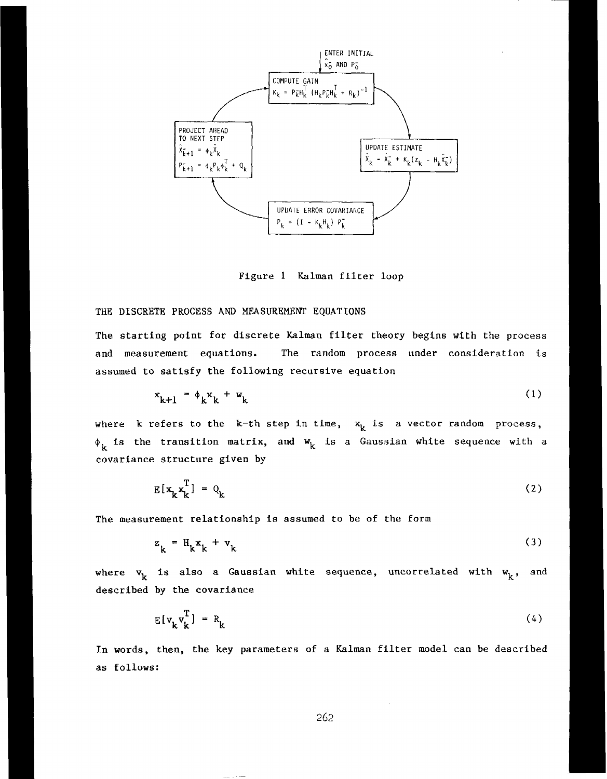

Figure 1 **Kalman** filter **loop** 

# THE **DISCRETE** PROCESS **AND MEASUREMENT EQUATIONS**

The starting point for discrete Kalman filter theory begins with the process and **measurement** equations. The random process under consideration is assumed to **satisfy** the following **recursive** equation

$$
x_{k+1} = \phi_k x_k + w_k \tag{1}
$$

where k refers to the  $k-th$  step in time,  $x_k$  is a vector random process,  $\phi_k$  is the transition matrix, and  $w_k$  is a Gaussian white sequence with a **covariance** structure **given by** 

$$
E[x_k x_k^T] = Q_k \tag{2}
$$

The measurement relationship **is** assumed to be of the form

$$
z_k = H_k x_k + v_k \tag{3}
$$

where  $\mathbf{v}_k$  is also a Gaussian white sequence, uncorrelated with  $\mathbf{w}_k$ , and **described by** the **covariance** 

$$
E[v_k v_k^T] = R_k
$$
 (4)

**In words, then, the key** parameters of a Kalman filter **model** can be described as follows: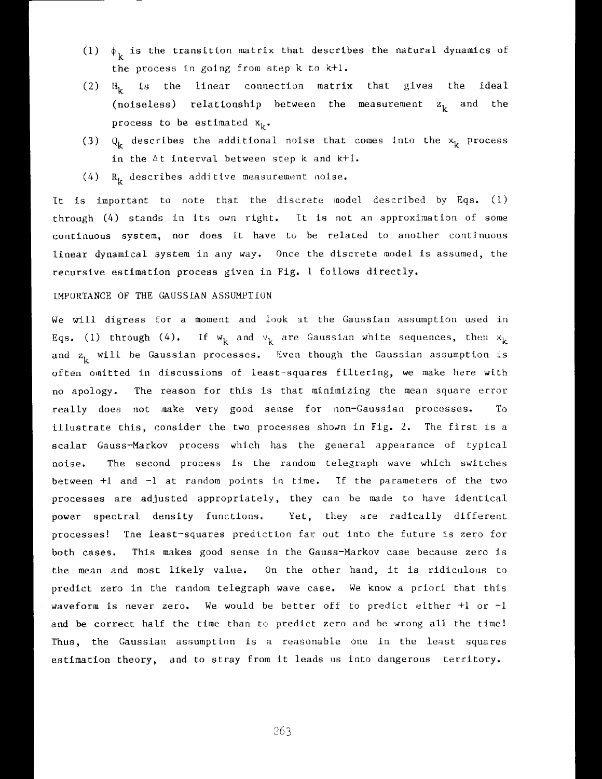- (1)  $\phi_k$  is the transition matrix that describes the natural dynamics of the process in going from sLep k **to k-i-1.**
- $(2)$   $H<sub>k</sub>$  is the linear connection matrix that gives the ideal (noiseless) relationship between the measurement  $z<sub>k</sub>$  and the process to be estimated  $x_k$ .
- (3)  $\mathbf{Q}_k$  describes the additional noise that comes into the  $\mathbf{x}_k$  process in the  $\Delta t$  interval between  $step k$  and  $k+1$ .
- (4) **R<sub>k</sub>** describes additive measurement noise.

**It** is important to note that the discrete inodel described by Eqs. (1) through (4) stands in its own right. It is not an approximation of some continuous system, nor does it have to be related to another contlnuous linear dynamical system in any way. Once the discrete model is assumed, the recursive estimation process given in Fig. 1 **follows directly.** 

## IMPORTANCE OF THE **GAUSSIAN ASSUMPTION**

We will digress for a moment and **look** at the Gaussian assumption used in Eqs. (1) through (4). If  $w_k$  and  $v_k$  are Gaussian white sequences, then  $x_k$ and  $z_k$  will be Gaussian processes. Even though the Gaussian assumption is often omitted in discussions of least-squares filtering, we make here with no apology. The reason for this is that **minimizing** the mean square error really does not make very good sense for **non-Gausslan** proccsses. To illustrate this, consider the two processes shown in Fig. 2. The first is a scalar Gauss-Markov process which has the general appearance of typical noise. The second process is the random telegraph wave which switches between +1 and -1 at random points in time. If the parameters of the two processes are adjusted appropriately, they can he made to have identical power spectral density functions. Yet, they are radically different processes! The least-squares prediction far out into the future is zero for both **cases.** This makes good sense in the Gauss-Markov case because zero 1s the mean and most likely value. On the other hand, it is ridiculous to predict zero in the random telegraph wave case. We know a priori that this waveform is never zero. We would he better off to predict either +1 or -1 and be correct half the time than to predict zero and be wrong all the time! Thus, the Gaussian assumption is a reasonable one in the least squares estimation theory, and to stray from it leads us into dangerous territory.

263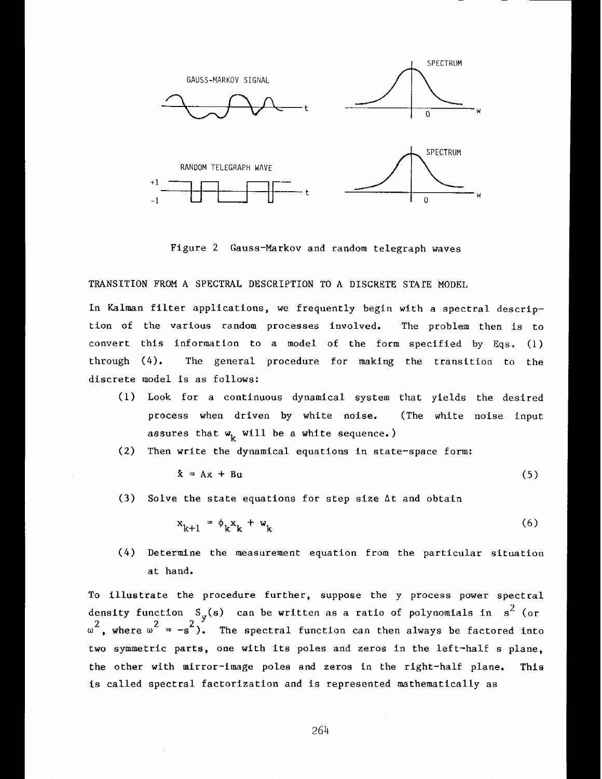

Figure 2 Gauss-Markov and random telegraph waves

**TRANSITION** FROM **A** SPECTRAL DESCRIPTION TO **A** DISCKETE **STATE** MODEL

In Kalman filter applications, we frequently begin with a spectral description of the various random processes involved. The problem then is to convert **this** information to **a** model of the form specified by **Eqs.** (1) through (4). The **general** procedure for **making** the transition to the discrete model is as follows:

- (1) Look for a continuous dynamical system that yields the desired process when driven by **white** noise. (The white noise input assures that  $w_k$  will be a white sequence.)
- (2) Then **write** the dynamical equations in state-space form:

$$
\dot{x} = Ax + Bu \tag{5}
$$

**(3)** Solve the state equations for step size At and obtain

$$
x_{k+1} = \phi_k x_k + w_k \tag{6}
$$

(4) Determine **the** measurement equation from the particular situation at hand.

To illustrate the procedure further, suppose the y process power spectral density function  $S_{\mathbf{y}}(s)$  can be written as a ratio of polynomials in  $s^2$  (or  $\int_{\omega}^{2}$ , where  $\omega^{2} = -s^{2}$ ). The spectral function can then always be factored into two symmetric parts, one with its poles and zeros in the left-half s plane, the other **with** mirror-image poles and zeros in the right-half plane. This is called spectral factorization and is represented mathematically as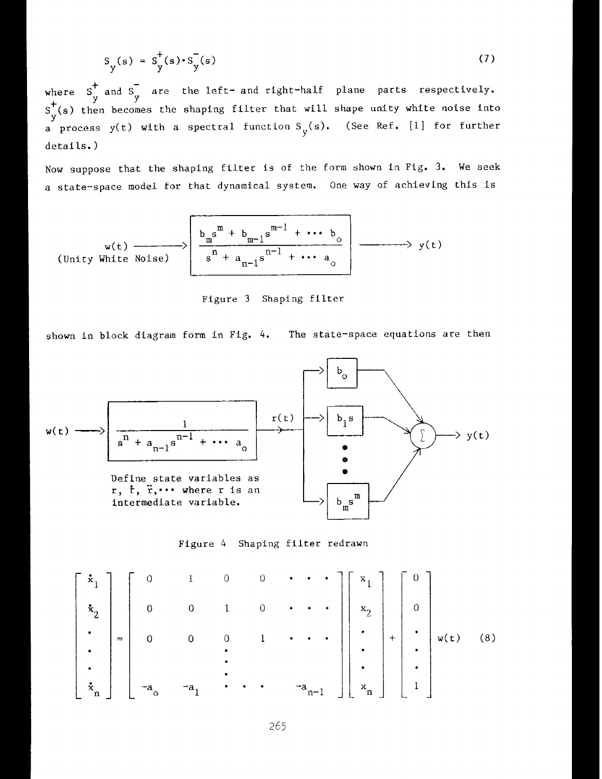$$
S_{y}(s) = S_{y}^+(s) \cdot S_{y}^-(s)
$$
 (7)

where  $S_{u}^{\dagger}$  and  $S_{u}^{-}$  are the left- and right-half plane parts respectively. 4- Y **Y S** (s) then becomes the shaping filter that will shape unlty white noise into  $\mathcal{L}$ a process  $y(t)$  with a spectral function  $S_y(s)$ . (See Ref. [1] for further details. )

**Now** suppose that the shaping filter is of the form shown in Fig. 3. **We seek**  a state-space model for that dynamical system. **One way of** achieving this is

$$
(Unity White Noise) \qquad \qquad \downarrow b_m^m + b_{m-1}s^{m-1} + \cdots b_0
$$
\n
$$
= \qquad \qquad \downarrow b_m^m + a_{n-1}s^{m-1} + \cdots a_0
$$
\n
$$
= \qquad \qquad y(t)
$$

Figure 3 Shaping filter

shown in **block** diagram form **in** Fig. *4.* The state-space equations are **then** 



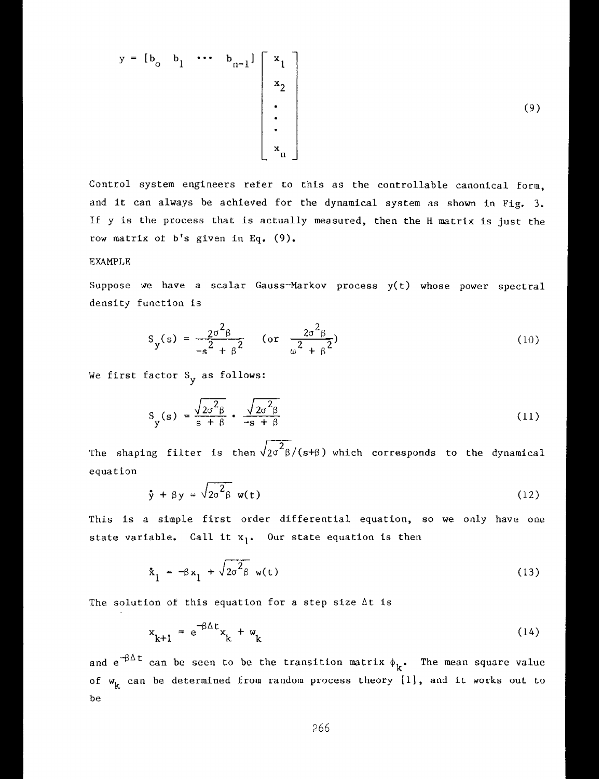$$
y = [b_0 \quad b_1 \quad \cdots \quad b_{n-1}] \begin{bmatrix} x_1 \\ x_2 \\ \vdots \\ x_n \end{bmatrix}
$$
 (9)

Control **system** engineers refer to thts as the controllable canonical form, and it can always be achieved for the dynamical system as shown in Fig. 3. I€ y is the process that is actually measured, then the H matrlx is just the row matrix of b's given in Eq. (9).

# EXAMPLE

Suppose we have a scalar Gauss-Markov process  $y(t)$  whose power spectral density function is

$$
S_y(s) = \frac{2\sigma^2 \beta}{-s^2 + \beta^2} \quad \text{(or } \frac{2\sigma^2 \beta}{\omega^2 + \beta^2}\text{)}\tag{10}
$$

We first factor S<sub>y</sub> as follows:

$$
S_y(s) = \frac{\sqrt{2\sigma^2 \beta}}{s + \beta} \cdot \frac{\sqrt{2\sigma^2 \beta}}{-s + \beta}
$$
 (11)

The shaping filter is then  $\sqrt{2\sigma^2}$   $\beta$  /(s+ $\beta$ ) which corresponds to the dynamical equation

$$
\dot{y} + \beta y = \sqrt{2\sigma^2 \beta} \mathbf{w}(t) \tag{12}
$$

This is a simple first order differential equation, so we only have one state variable. Call it  $x_1$ . Our state equation is then

$$
\dot{\mathbf{x}}_1 = -\beta \mathbf{x}_1 + \sqrt{2\sigma^2 \beta} \mathbf{w(t)}
$$
 (13)

The solution of this equation for a step size  $\Delta t$  is

$$
x_{k+1} = e^{-\beta \Delta t} x_k + w_k \tag{14}
$$

and  $e^{-\beta \Delta t}$  can be seen to be the transition matrix  $\phi_k$ . The mean square value of  $w_k$  can be determined from random process theory [1], and it works out to be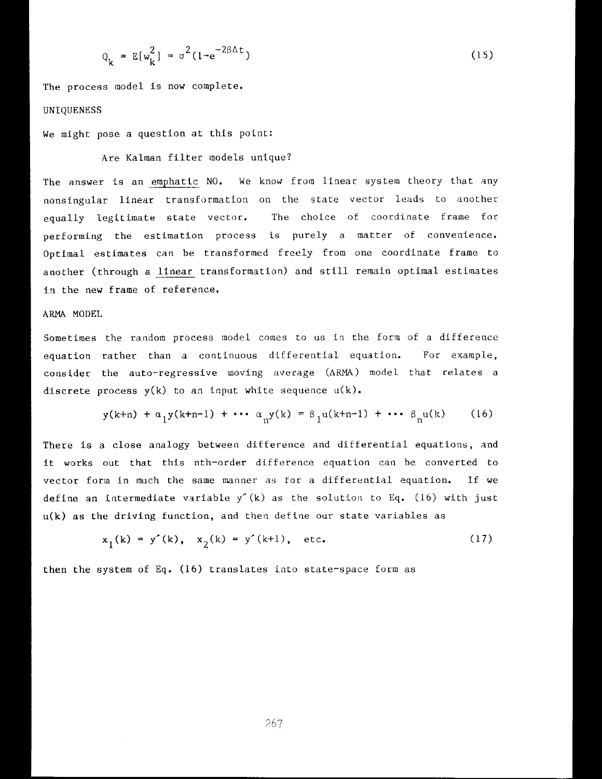$$
Q_k = E[w_k^2] = \sigma^2 (1 - e^{-2\beta \Delta t})
$$
 (15)

The process inodel is **now** complete. **UNIQUENESS** 

We might pose a question at this point:

# Are Kalman filter models unique?

The answer is an emphatic NO. We know from linear system theory that any nonsingular linear transformation on the state vector leads to another equally legitimate state vector. The choice of coordinate frame for performing the estimation process is purely a matter of convenience. Optimal estimates can be transformed freely from one coordinate frame to another (through a linear transformation) and still remain optimal estimates in the **new** frame of reference.

# ARMA MODEL

Sometimes the random process model comes to us in the form of a difference equation rather **than** a continuous differential equation. For example, consider the auto-regressive moving average (AKMA) model that relates a discrete process **y(k)** to an input white sequence **u(k).** 

$$
y(k+n) + \alpha_1 y(k+n-1) + \cdots + \alpha_n y(k) = \beta_1 u(k+n-1) + \cdots + \beta_n u(k)
$$
 (16)

There is a close analogy between difference and differential equations, and It works out that this nth-order difference equation can he converted to vector form in much the same manner as for a differential equation. If we define an intermediate variable y'(k) as the solution to Eq. (16) with just **u(k)** as the driving Eunction, and then define our state variables as

$$
x_1(k) = y'(k), x_2(k) = y'(k+1), \text{ etc.}
$$
 (17)

then the **system** of Eq, (16) translates into state-space **form** as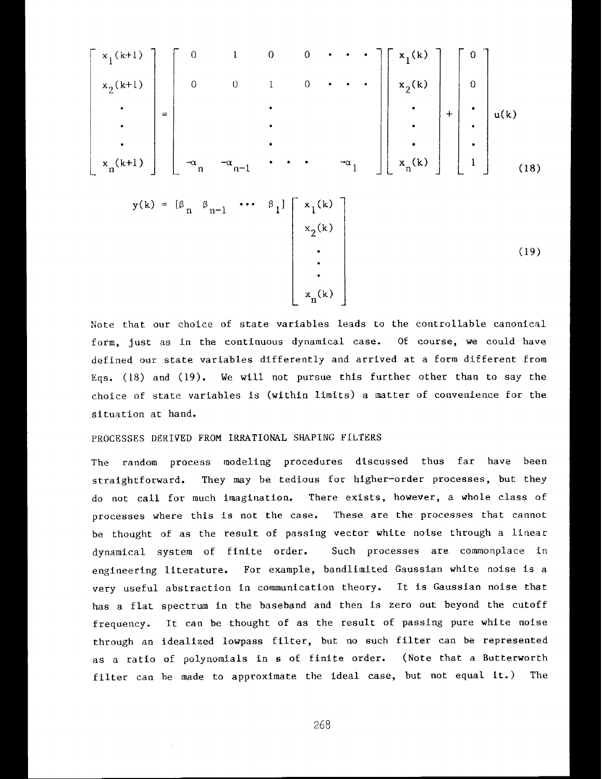$$
\begin{bmatrix}\nx_1(k+1) \\
x_2(k+1) \\
\vdots \\
x_n(k+1)\n\end{bmatrix} = \begin{bmatrix}\n0 & 1 & 0 & 0 & \cdots & \cdots \\
0 & 0 & 1 & 0 & \cdots & \cdots \\
\vdots & \vdots & \vdots & \ddots & \vdots \\
0 & \ddots & \vdots & \ddots & \vdots \\
0 & \ddots & \ddots & \ddots & \ddots & \vdots \\
0 & \ddots & \ddots & \ddots & \ddots & \vdots \\
0 & \ddots & \ddots & \ddots & \ddots & \vdots \\
0 & \ddots & \ddots & \ddots & \ddots & \vdots \\
0 & \ddots & \ddots & \ddots & \ddots & \vdots \\
0 & \ddots & \ddots & \ddots & \ddots & \vdots \\
0 & \ddots & \ddots & \ddots & \ddots & \vdots \\
0 & \ddots & \ddots & \ddots & \ddots & \vdots \\
0 & \ddots & \ddots & \ddots & \ddots & \vdots \\
0 & \ddots & \ddots & \ddots & \ddots & \vdots \\
0 & \ddots & \ddots & \ddots & \ddots & \vdots \\
0 & \ddots & \ddots & \ddots & \ddots & \vdots \\
0 & \ddots & \ddots & \ddots & \ddots & \vdots \\
0 & \ddots & \ddots & \ddots & \ddots & \vdots \\
0 & \ddots & \ddots & \ddots & \ddots & \vdots \\
0 & \ddots & \ddots & \ddots & \ddots & \vdots \\
0 & \ddots & \ddots & \ddots & \ddots & \vdots \\
0 & \ddots & \ddots & \ddots & \ddots & \vdots \\
0 & \ddots & \ddots & \ddots & \ddots & \vdots \\
0 & \ddots & \ddots & \ddots & \ddots & \vdots \\
0 & \ddots & \ddots & \ddots & \ddots & \vdots \\
0 & \ddots & \ddots & \ddots & \ddots & \vdots \\
0 & \ddots & \ddots & \ddots & \ddots & \vdots \\
0 & \ddots & \ddots & \ddots & \ddots & \vdots \\
0 & \ddots & \ddots & \ddots & \ddots & \vdots \\
0 & \ddots & \ddots & \ddots & \ddots & \vdots \\
0 & \ddots & \ddots & \ddots & \ddots & \vdots \\
0 & \ddots & \ddots & \ddots & \ddots & \vdots \\
0 & \ddots & \ddots & \ddots & \ddots & \vdots
$$

Note that our choice of state variables leads to the controllable canonical form, just as in the continuous dynamical case. Of course, **we** could have defined our state variables differently and arrived at a form different from **Eqs.** (18) and (19). We will not pursue this further other than to say the choice of state variables is (within limits) a matter of convenience for the situation at hand.

 $\begin{vmatrix} \cdot \\ x_{n}(k) \end{vmatrix}$ 

### PROCESSES DERIVED FROM **IKKATIONAL** SHAPING FILTEKS

The random process modeling procedures discussed thus far have been straightforward. They may be tedious for higher-order processes, but **they**  do not call for much imagination. There exists, however, a whole class of processes where this is not the case. These are the processes that cannot be thought of as the **result** of passing vector white noise through a Linear dynarnical system of finite order. Such processes are commonplace in engineering literature. For example, bandlimited Gaussian white noise is a very useful abstraction in communication theory. It is Gaussian noise that has a flat spectrum in the baseband and then is zero out beyond the cutoff frequency. It can be thought of as **the** result of passing pure white noise through an idealized lowpass filter, but no such filter can be represented as a ratio of polynomials in **s** of finite order. (Note that a Butterworth filter can be made to approximate the ideal case, but not equal it.) The

268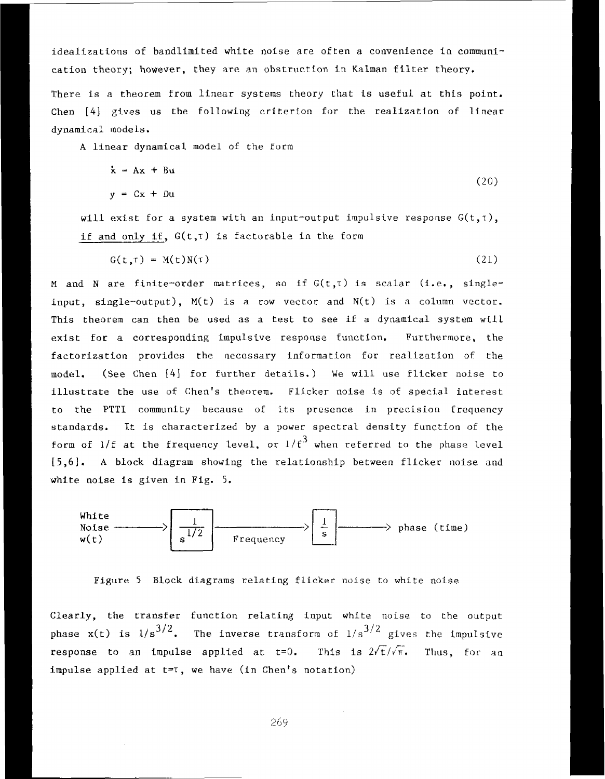idealizations of bandlimited white noise ate often a convenience in communi**cation theory;** however, **they** are an obstruction In Kalman filter theory.

There is **a** theorem from linear systems theory Chat Is useful at this point, Chen [4] gives us the following criterion for the realization of linear dynamical models.

A **linear** dynarnical model **of** the Eorrn

$$
\dot{x} = Ax + Bu
$$
  
\n
$$
y = Cx + Du
$$
 (20)

will exist for a system with an input-output impulsive response  $G(t, t)$ , if and only if,  $G(t, \tau)$  is factorable in the form

$$
G(t,t) = M(t)N(\tau) \tag{21}
$$

M and N are finite-order matrices, so if  $G(t, \tau)$  is scalar (i.e., singleinput, **single-output),** M(t) is **n** row vector and N(t) is a column vector. This **theorem** can **then** be used **as** a test to see if a dynamical system **wtll**  exist for a corresponding impulsive response function. Furthermore, the factorization provides the necessary information for realization of the model. (See Chen [4] for further details.) We will use flicker noise to **illustrate** the use **of** Chen's theorem. Flicker noise is of special interest to the PTTI community because of its presence in precision frequency standards. It is characterized by a power **spectral** density function **of** the form of  $1/f$  at the frequency level, or  $1/f^3$  when referred to the phase level [5,6]. A **block** diagram showtng the relationship between flicker noise and white noise **is** given **in Fig.** 5.



Figure *5* Block diagrams relating flicker noise to white noise

<sup>I</sup>Clearly, the **transfer** function relating input white noise to the output phase **x**(t) is  $1/s^{3/2}$ . The inverse transform of  $1/s^{3/2}$  gives the impulsive **response** to an impulse applied at  $t=0$ . This is  $2\sqrt{t}/\sqrt{\pi}$ . Thus, for an impulse applied at t=r, we have **(in Chen's** notation)

I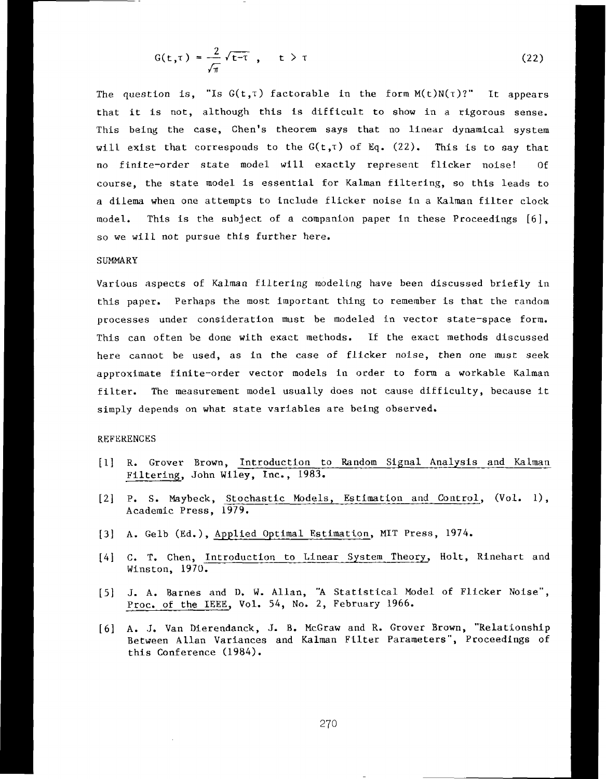$$
G(t,\tau) = \frac{2}{\sqrt{\pi}} \sqrt{t-\tau} , \quad t > \tau
$$
 (22)

The question is, "Is  $G(t, \tau)$  factorable in the form  $M(t)N(\tau)$ ?" It appears that it is not, although this is difficult to show in a rigorous sense. This being the case, Chen's theorem **says** that no linear dynamical system will exist that corresponds to the  $G(t, \tau)$  of Eq.  $(22)$ . This is to say that no finite-order state model will exactly represent flicker noise! Of course, the state model is essential for Kalman filtering, so this leads to a **dtleaa** when one attempts to include flicker noise in a Kalman filter clock model. This Is the suhject of a companion paper in these Proceedings [6], so we will not pursue this further here.

### **SUMMARY**

Various aspects of **Kalman** filtering modeling have been discussed **briefly** in this paper. Perhaps the most important thing to remember is that the random processes under consideration must be modeled in vector state-space form. This can often be done with exact methods. If the exact methods discussed here cannot be used, as in the case of flicker noise, then one must seek approxtmate finite-order vector models in order to form a workable Kalman filter. **The** measurement model usually does not cause difficulty, because it simply depends on what state variables are being observed.

#### REFERENCES

- [l] R. Grover Brown, Introduction to Random Signal Analysis and Kalrnan Filtering, John **Wiley,** Inc., 1983.
- [2] P. S. Maybeck, Stochastic Models, Estimation and Control, (Vol. 1), Academic Press, 1979.
- *[3]* **A.** Gelb (Ed.), Applied Optimal Estimation, MIT Press, 1974.
- [4] **C. T. Chen, Introduction to Linear System Theory, Holt, Rinehart and** Winston, 1970.
- [5] J. A. Barnes and D. W. Allan, "A Statistical Model of Flicker Noise", Proc. of the IEEE, Vol. 54, No. 2, February 1966.
- [6] **A.** .I, Van Dierendanck, J. 8. McGraw and R. Grover Brown, "Relationship Between **Allan** Variances and Kalman Filter Parameters", **Proceedings** of this Conference (1984).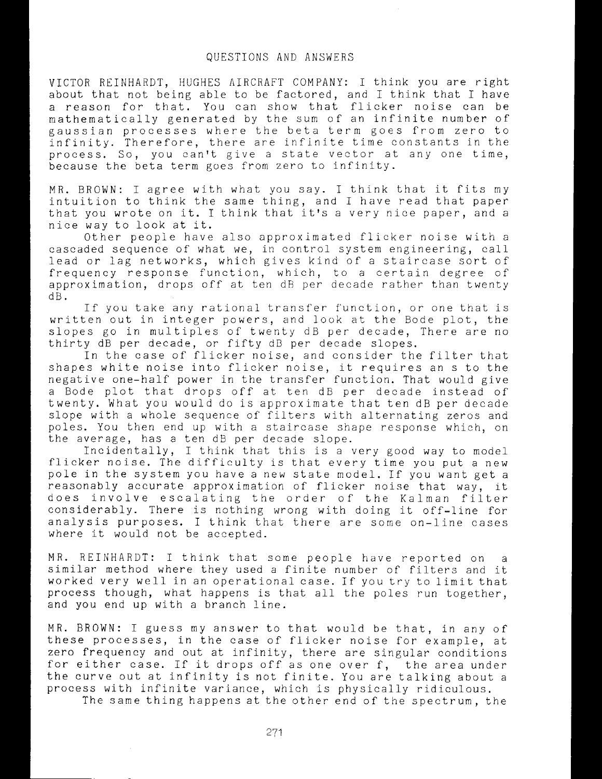## QUESTIONS AND ANSWERS

VICTOR REINHARDT, HUGHES AIRCRAFT COMPANY: I think you are right about that not being able to be factored, and I think that I have a reason for that. You can show that flicker noise can be mathematically generated by the sum of an infinite number of gaussian processes where the beta term goes from zero to infinity. Therefore, there are infinite time constants in the process. So, you can't give a state vector at any one time, because the beta term goes from zero to infinity.

MR. BROWN: I agree with what you say. I think that it fits my intuition to think the same thing, and I have read that paper that you wrote on it. I think that it's a very nice paper, and a nice way to look at it.

Other people have also approximated flicker noise with a cascaded sequence of what we, in control system engineering, call lead or lag networks, which gives kind of a staircase sort of frequency response function, which, to a certain degree of approximation, drops off at ten dB per decade rather than twenty <sup>1</sup>dB.

If you take any rational transfer function, or one that is written out in integer powers, and look at the Bode plot, the slopes go in multiples of twenty dB per decade, There are no thirty dB per decade, or fifty dB per decade slopes.

In the case of flicker noise, and consider the filter that shapes white noise into flicker noise, it requires an s to the negative one-half' power in the transfer function. That would give a Bode plot that drops off at ten dB per decade instead of twenty. What you would do is approximate that ten **dB** per decade slope with a whole sequence of filters with alternating zeros and poles. You then end up with a staircase shape response which, on the average, has a ten dB per decade slope.

Incidentally, I think that this is a very good way to model flicker noise. The difficulty is that every time you put a new pole in the system you have a new state model. If you want get a reasonably accurate approximation of flicker noise that way, it does involve escalating the order of the Kalman filter considerably. There is nothing wrong with doing it off-line for analysis purposes. I think that there are some on-line cases where it would not be accepted.

MR. REINHARDT: I think that some people have reported on a similar method where they used a finite number of filters and it worked very well in an operational case. If you try to limit that process though, what happens is that all the poles run together, and you end up with a branch line.

MR. BROWN: I guess my answer to that would be that, in any of these processes, in the case of flicker noise for example, at zero frequency and out at infinity, there are singular conditions for either case. If it drops off as one over f, the area under the curve out at infinity is not finite. You are talking about a process with infinite variance, which is physically ridiculous.

The same thing happens at the other end of the spectrum, the